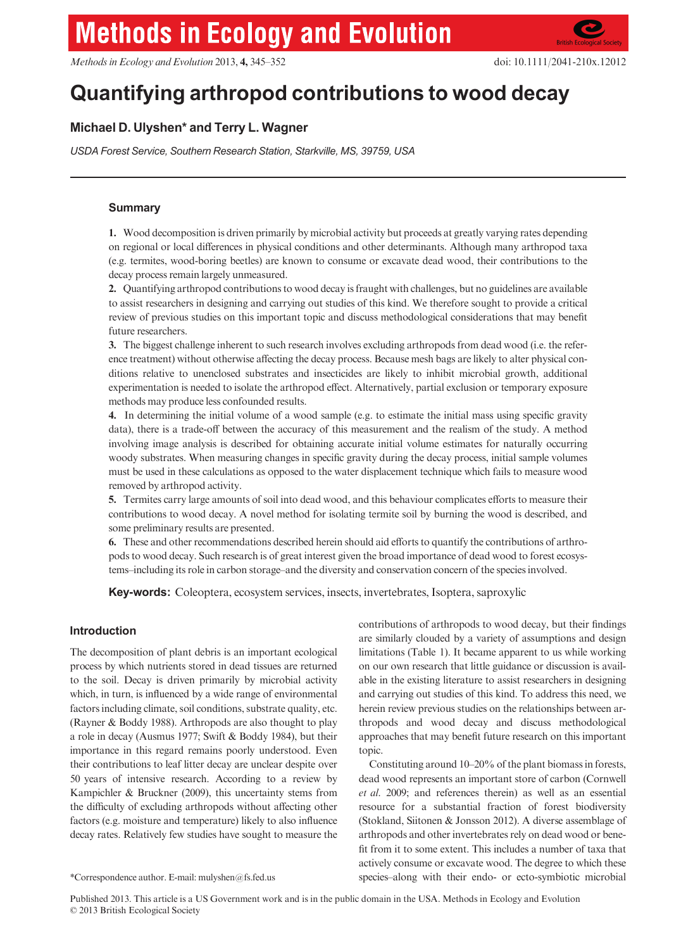# **Methods in Ecology and Evolution**

Methods in Ecology and Evolution 2013, 4, 345–352 doi: 10.1111/2041-210x.12012

# Quantifying arthropod contributions to wood decay

# Michael D. Ulyshen\* and Terry L. Wagner

USDA Forest Service, Southern Research Station, Starkville, MS, 39759, USA

## Summary

1. Wood decomposition is driven primarily by microbial activity but proceeds at greatly varying rates depending on regional or local differences in physical conditions and other determinants. Although many arthropod taxa (e.g. termites, wood-boring beetles) are known to consume or excavate dead wood, their contributions to the decay process remain largely unmeasured.

2. Quantifying arthropod contributions to wood decay is fraught with challenges, but no guidelines are available to assist researchers in designing and carrying out studies of this kind. We therefore sought to provide a critical review of previous studies on this important topic and discuss methodological considerations that may benefit future researchers.

3. The biggest challenge inherent to such research involves excluding arthropods from dead wood (i.e. the reference treatment) without otherwise affecting the decay process. Because mesh bags are likely to alter physical conditions relative to unenclosed substrates and insecticides are likely to inhibit microbial growth, additional experimentation is needed to isolate the arthropod effect. Alternatively, partial exclusion or temporary exposure methods may produce less confounded results.

4. In determining the initial volume of a wood sample (e.g. to estimate the initial mass using specific gravity data), there is a trade-off between the accuracy of this measurement and the realism of the study. A method involving image analysis is described for obtaining accurate initial volume estimates for naturally occurring woody substrates. When measuring changes in specific gravity during the decay process, initial sample volumes must be used in these calculations as opposed to the water displacement technique which fails to measure wood removed by arthropod activity.

5. Termites carry large amounts of soil into dead wood, and this behaviour complicates efforts to measure their contributions to wood decay. A novel method for isolating termite soil by burning the wood is described, and some preliminary results are presented.

6. These and other recommendations described herein should aid efforts to quantify the contributions of arthropods to wood decay. Such research is of great interest given the broad importance of dead wood to forest ecosystems–including its role in carbon storage–and the diversity and conservation concern of the species involved.

Key-words: Coleoptera, ecosystem services, insects, invertebrates, Isoptera, saproxylic

### Introduction

The decomposition of plant debris is an important ecological process by which nutrients stored in dead tissues are returned to the soil. Decay is driven primarily by microbial activity which, in turn, is influenced by a wide range of environmental factors including climate, soil conditions, substrate quality, etc. (Rayner & Boddy 1988). Arthropods are also thought to play a role in decay (Ausmus 1977; Swift & Boddy 1984), but their importance in this regard remains poorly understood. Even their contributions to leaf litter decay are unclear despite over 50 years of intensive research. According to a review by Kampichler & Bruckner (2009), this uncertainty stems from the difficulty of excluding arthropods without affecting other factors (e.g. moisture and temperature) likely to also influence decay rates. Relatively few studies have sought to measure the contributions of arthropods to wood decay, but their findings are similarly clouded by a variety of assumptions and design limitations (Table 1). It became apparent to us while working on our own research that little guidance or discussion is available in the existing literature to assist researchers in designing and carrying out studies of this kind. To address this need, we herein review previous studies on the relationships between arthropods and wood decay and discuss methodological approaches that may benefit future research on this important topic.

Constituting around 10–20% of the plant biomass in forests, dead wood represents an important store of carbon (Cornwell et al. 2009; and references therein) as well as an essential resource for a substantial fraction of forest biodiversity (Stokland, Siitonen & Jonsson 2012). A diverse assemblage of arthropods and other invertebrates rely on dead wood or benefit from it to some extent. This includes a number of taxa that actively consume or excavate wood. The degree to which these \*Correspondence author. E-mail: mulyshen@fs.fed.us species–along with their endo- or ecto-symbiotic microbial

Published 2013. This article is a US Government work and is in the public domain in the USA. Methods in Ecology and Evolution © 2013 British Ecological Society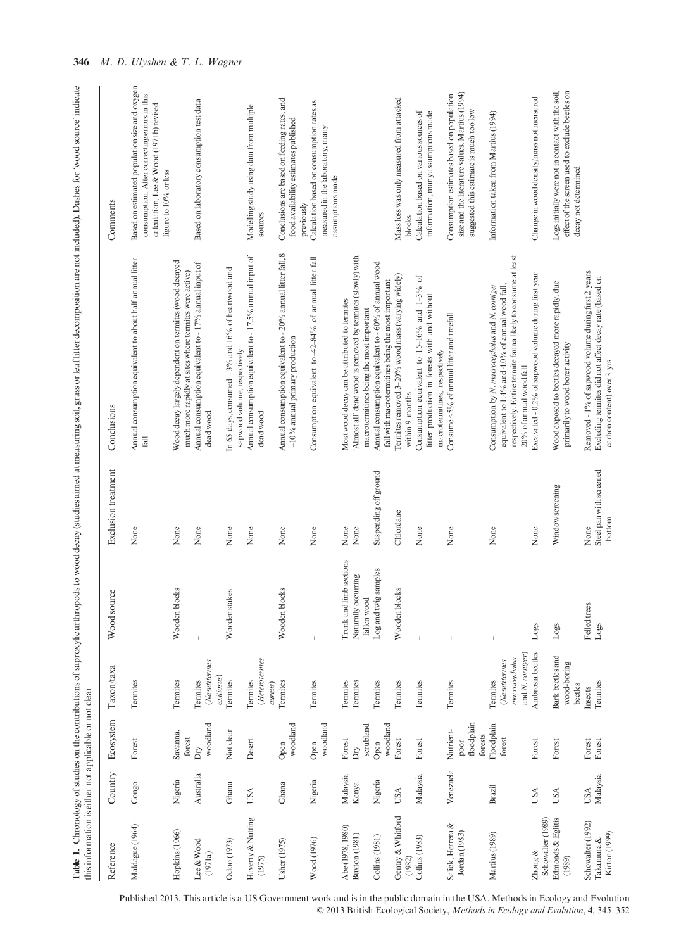| <b>THRE T.</b> CHROROSS OF SERIES ON RECONSIDERING SERIES OF SERIES AND THE SERIES OF SERIES OF SERIES OF SERIES OF SERIES OF SERIES OF SERIES OF SERIES OF SERIES OF SERIES OF SERIES OF SERIES OF SERIES OF SERIES OF SERIES OF S<br>this information is either not applicable or not clear |                   |                                            |                                                                |                                                               |                                           | pons to mono neces, / primites surrice or learning son's grass or learning son's grass of the more and the more than the more of the son's property presented in the more interesting to the more and the more interesting to |                                                                                                                                                                   |
|-----------------------------------------------------------------------------------------------------------------------------------------------------------------------------------------------------------------------------------------------------------------------------------------------|-------------------|--------------------------------------------|----------------------------------------------------------------|---------------------------------------------------------------|-------------------------------------------|-------------------------------------------------------------------------------------------------------------------------------------------------------------------------------------------------------------------------------|-------------------------------------------------------------------------------------------------------------------------------------------------------------------|
| Reference                                                                                                                                                                                                                                                                                     | Country           | Ecosystem                                  | Taxon/taxa                                                     | Wood source                                                   | Exclusion treatment                       | Conclusions                                                                                                                                                                                                                   | Comments                                                                                                                                                          |
| Maldague (1964)                                                                                                                                                                                                                                                                               | Congo             | Forest                                     | Termites                                                       |                                                               | None                                      | Annual consumption equivalent to about half-annual litter<br>fall                                                                                                                                                             | Based on estimated population size and oxygen<br>consumption. After correcting errors in this<br>calculation, Lee & Wood (1971b) revised<br>figure to 10% or less |
| Hopkins (1966)                                                                                                                                                                                                                                                                                | Nigeria           | Savanna,<br>forest                         | Termites                                                       | Wooden blocks                                                 | None                                      | Wood decay largely dependent on termites (wood decayed<br>much more rapidly at sites where termites were active)                                                                                                              |                                                                                                                                                                   |
| Lee $&$ Wood<br>(1971a)                                                                                                                                                                                                                                                                       | Australia         | woodland<br>$\rm{Dry}$                     | (Nasutiternes<br>exitiosus)<br>Termites                        | $\overline{1}$                                                | None                                      | Amual consumption equivalent to ~ 17% annual input of<br>dead wood                                                                                                                                                            | Based on laboratory consumption test data                                                                                                                         |
| Ocloo (1973)                                                                                                                                                                                                                                                                                  | Ghana             | Not clear                                  | Termites                                                       | Wooden stakes                                                 | None                                      | In 65 days, consumed ~3% and 16% of heartwood and<br>sapwood volume, respectively                                                                                                                                             |                                                                                                                                                                   |
| Haverty & Nutting<br>(1975)                                                                                                                                                                                                                                                                   | USA               | Desert                                     | (Heteroternes<br>Termites<br>aureus)                           | Ĭ.                                                            | None                                      | Amual consumption equivalent to ~ 17.5% annual input of<br>dead wood                                                                                                                                                          | Modelling study using data from multiple<br>sources                                                                                                               |
| Usher (1975)                                                                                                                                                                                                                                                                                  | Ghana             | woodland<br>Open                           | Termites                                                       | Wooden blocks                                                 | None                                      | Annual consumption equivalent to ~20% annual litter fall, 8<br>$-10\%$ annual primary production                                                                                                                              | Conclusions are based on feeding rates, and<br>food availability estimates published<br>previously                                                                |
| Wood (1976)                                                                                                                                                                                                                                                                                   | Nigeria           | woodland<br>Open                           | Termites                                                       |                                                               | None                                      | Consumption equivalent to -42-84% of annual litter fall                                                                                                                                                                       | Calculation based on consumption rates as<br>measured in the laboratory, many<br>assumptions made                                                                 |
| Abe (1978, 1980)<br>Buxton (1981)                                                                                                                                                                                                                                                             | Malaysia<br>Kenya | scrubland<br>Forest<br>Dry                 | Termites<br>Termites                                           | Trunk and limb sections<br>Naturally occurring<br>fallen wood | None<br>None                              | Almost all' dead wood is removed by termites (slowly) with<br>Most wood decay can be attributed to termites<br>macrotermitines being the most important                                                                       |                                                                                                                                                                   |
| Collins (1981)                                                                                                                                                                                                                                                                                | Nigeria           | woodland<br>Open                           | Termites                                                       | Log and twig samples                                          | Suspending off ground                     | Annual consumption equivalent to ~ 60% of annual wood<br>fall with macrotermitines being the most important                                                                                                                   |                                                                                                                                                                   |
| Gentry & Whitford<br>(1982)                                                                                                                                                                                                                                                                   | USA               | Forest                                     | Termites                                                       | Wooden blocks                                                 | Chlordane                                 | Termites removed 3-20% wood mass (varying widely)<br>within 9 months                                                                                                                                                          | Mass loss was only measured from attacked<br>blocks                                                                                                               |
| Collins (1983)                                                                                                                                                                                                                                                                                | Malaysia          | Forest                                     | Termites                                                       |                                                               | None                                      | Consumption equivalent to -15-16% and -1-3% of<br>litter production in forests with and without<br>macrotermitines, respectively                                                                                              | Calculation based on various sources of<br>information, many assumptions made                                                                                     |
| Salick, Herrera &<br>Jordan (1983)                                                                                                                                                                                                                                                            | Venezuela         | floodplain<br>Nutrient-<br>forests<br>poor | Termites                                                       |                                                               | None                                      | Consume <5% of annual litter and treefall                                                                                                                                                                                     | size and the literature values. Martius (1994)<br>Consumption estimates based on population<br>suggested this estimate is much too low                            |
| Martius (1989)                                                                                                                                                                                                                                                                                | Brazil            | Floodplain<br>forest                       | and N. corniger)<br>macrocephalus<br>(Nasutiternes<br>Termites |                                                               | None                                      | respectively. Entire termite fauna likely to consume at least<br>Consumption by N. macrocephalus and N. corniger<br>equivalent to 1.4% and 4.0% of annual wood fall,<br>20% of annual wood fall                               | Information taken from Martius (1994)                                                                                                                             |
| Schowalter (1989)<br>Zhong &                                                                                                                                                                                                                                                                  | USA               | Forest                                     | Ambrosia beetles                                               | Logs                                                          | None                                      | Excavated - 0.2% of sapwood volume during first year                                                                                                                                                                          | Change in wood density/mass not measured                                                                                                                          |
| Edmonds & Eglitis<br>(1989)                                                                                                                                                                                                                                                                   | USA               | Forest                                     | Bark beetles and<br>wood-boring<br>beetles                     | LogO                                                          | Window screening                          | Wood exposed to beetles decayed more rapidly, due<br>primarily to wood borer activity                                                                                                                                         | Logs initially were not in contact with the soil,<br>effect of the screen used to exclude betles on<br>decay not determined                                       |
| Schowalter (1992)<br>Kirton (1999)<br>Takamura &                                                                                                                                                                                                                                              | Malaysia<br>USA   | Forest<br>Forest                           | Termites<br>Insects                                            | Felled trees<br>Logs                                          | Steel pan with screened<br>bottom<br>None | Removed ~ 1% of sapwood volume during first 2 years<br>Excluding termites did not affect decay rate (based on<br>carbon content) over 3 yrs                                                                                   |                                                                                                                                                                   |

osition are not included). Dashes for 'wood source' indicate Table 1. Chronology of studies on the contributions of saproxylic arthropods to wood decay (studies aimed at measuring soil, grass or leaf litter decomposition are not included). Dashes for 'wood source' indicate leaf litter der è  $\overline{a}$  $\ddot{\mathrm{t}}$ wilio -Ŕ ś Ŕ  $\ddot{\phantom{a}}$  $\mathbf{r}_{\mathbf{c}}$ Į. É Table 1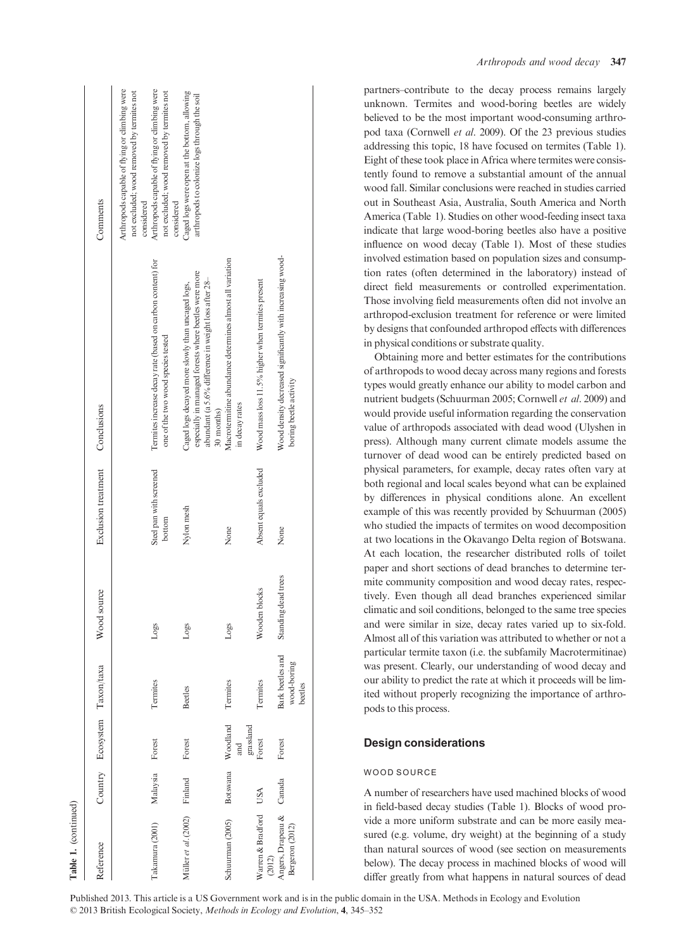| Reference                                   |          | Country Ecosystem Taxon/taxa          |                                            | source<br>Wood      | Exclusion treatment               | Conclusions                                                                                                                                                                      | Comments                                                                                                  |
|---------------------------------------------|----------|---------------------------------------|--------------------------------------------|---------------------|-----------------------------------|----------------------------------------------------------------------------------------------------------------------------------------------------------------------------------|-----------------------------------------------------------------------------------------------------------|
|                                             |          |                                       |                                            |                     |                                   |                                                                                                                                                                                  | Arthropods capable of flying or climbing were<br>not excluded; wood removed by termites not<br>considered |
| Takamura (2001)                             | Malaysia | Forest                                | Termites                                   | Logs                | Steel pan with screened<br>bottom | Termites increase decay rate (based on carbon content) for<br>one of the two wood species tested                                                                                 | Arthropods capable of flying or climbing were<br>not excluded; wood removed by termites not<br>considered |
| Müller et al. (2002)                        | Finland  | Forest                                | <b>Beetles</b>                             | Logs                | Nylon mesh                        | especially in managed forests where beetles were more<br>abundant (a 5.6% difference in weight loss after 28-<br>Caged logs decayed more slowly than uncaged logs,<br>30 months) | Caged logs were open at the bottom, allowing<br>arthropods to colonize logs through the soil              |
| Schuurman (2005)                            |          | Botswana Woodland<br>grassland<br>and | Termites                                   | Logs                | None                              | Macrotermitine abundance determines almost all variation<br>in decay rates                                                                                                       |                                                                                                           |
| Warren & Bradford USA<br>(2012)             |          | Forest                                | Termites                                   | Wooden blocks       | Absent equals excluded            | Wood mass loss 11.5% higher when termites present                                                                                                                                |                                                                                                           |
| Angers, Drapeau & Canada<br>Bergeron (2012) |          | Forest                                | Bark beetles and<br>wood-boring<br>beetles | Standing dead trees | None                              | Wood density decreased significantly with increasing wood-<br>boring beetle activity                                                                                             |                                                                                                           |

partners–contribute to the decay process remains largely unknown. Termites and wood-boring beetles are widely believed to be the most important wood-consuming arthropod taxa (Cornwell et al. 2009). Of the 23 previous studies addressing this topic, 18 have focused on termites (Table 1). Eight of these took place in Africa where termites were consistently found to remove a substantial amount of the annual wood fall. Similar conclusions were reached in studies carried out in Southeast Asia, Australia, South America and North America (Table 1). Studies on other wood-feeding insect taxa indicate that large wood-boring beetles also have a positive influence on wood decay (Table 1). Most of these studies involved estimation based on population sizes and consumption rates (often determined in the laboratory) instead of direct field measurements or controlled experimentation. Those involving field measurements often did not involve an arthropod-exclusion treatment for reference or were limited by designs that confounded arthropod effects with differences in physical conditions or substrate quality.

Obtaining more and better estimates for the contributions of arthropods to wood decay across many regions and forests types would greatly enhance our ability to model carbon and nutrient budgets (Schuurman 2005; Cornwell et al. 2009) and would provide useful information regarding the conservation value of arthropods associated with dead wood (Ulyshen in press). Although many current climate models assume the turnover of dead wood can be entirely predicted based on physical parameters, for example, decay rates often vary at both regional and local scales beyond what can be explained by differences in physical conditions alone. An excellent example of this was recently provided by Schuurman (2005) who studied the impacts of termites on wood decomposition at two locations in the Okavango Delta region of Botswana. At each location, the researcher distributed rolls of toilet paper and short sections of dead branches to determine termite community composition and wood decay rates, respectively. Even though all dead branches experienced similar climatic and soil conditions, belonged to the same tree species and were similar in size, decay rates varied up to six-fold. Almost all of this variation was attributed to whether or not a particular termite taxon (i.e. the subfamily Macrotermitinae) was present. Clearly, our understanding of wood decay and our ability to predict the rate at which it proceeds will be limited without properly recognizing the importance of arthropods to this process.

#### Design considerations

#### WOOD SOURCE

A number of researchers have used machined blocks of wood in field-based decay studies (Table 1). Blocks of wood provide a more uniform substrate and can be more easily measured (e.g. volume, dry weight) at the beginning of a study than natural sources of wood (see section on measurements below). The decay process in machined blocks of wood will differ greatly from what happens in natural sources of dead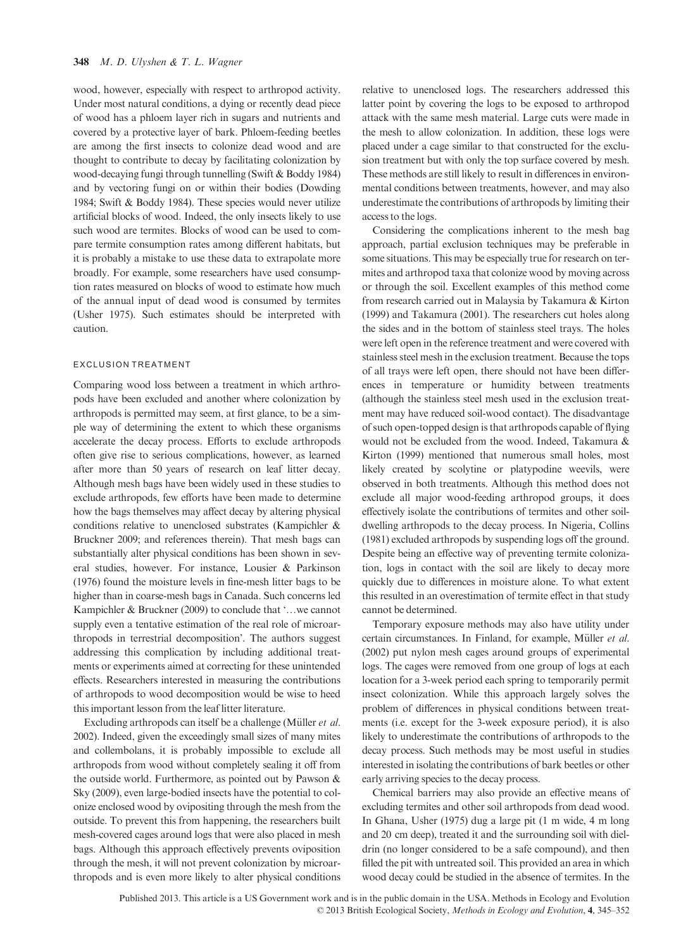wood, however, especially with respect to arthropod activity. Under most natural conditions, a dying or recently dead piece of wood has a phloem layer rich in sugars and nutrients and covered by a protective layer of bark. Phloem-feeding beetles are among the first insects to colonize dead wood and are thought to contribute to decay by facilitating colonization by wood-decaying fungi through tunnelling (Swift & Boddy 1984) and by vectoring fungi on or within their bodies (Dowding 1984; Swift & Boddy 1984). These species would never utilize artificial blocks of wood. Indeed, the only insects likely to use such wood are termites. Blocks of wood can be used to compare termite consumption rates among different habitats, but it is probably a mistake to use these data to extrapolate more broadly. For example, some researchers have used consumption rates measured on blocks of wood to estimate how much of the annual input of dead wood is consumed by termites (Usher 1975). Such estimates should be interpreted with caution.

#### EXCLUSION TREATMENT

Comparing wood loss between a treatment in which arthropods have been excluded and another where colonization by arthropods is permitted may seem, at first glance, to be a simple way of determining the extent to which these organisms accelerate the decay process. Efforts to exclude arthropods often give rise to serious complications, however, as learned after more than 50 years of research on leaf litter decay. Although mesh bags have been widely used in these studies to exclude arthropods, few efforts have been made to determine how the bags themselves may affect decay by altering physical conditions relative to unenclosed substrates (Kampichler & Bruckner 2009; and references therein). That mesh bags can substantially alter physical conditions has been shown in several studies, however. For instance, Lousier & Parkinson (1976) found the moisture levels in fine-mesh litter bags to be higher than in coarse-mesh bags in Canada. Such concerns led Kampichler & Bruckner (2009) to conclude that '…we cannot supply even a tentative estimation of the real role of microarthropods in terrestrial decomposition'. The authors suggest addressing this complication by including additional treatments or experiments aimed at correcting for these unintended effects. Researchers interested in measuring the contributions of arthropods to wood decomposition would be wise to heed this important lesson from the leaf litter literature.

Excluding arthropods can itself be a challenge (Müller et al. 2002). Indeed, given the exceedingly small sizes of many mites and collembolans, it is probably impossible to exclude all arthropods from wood without completely sealing it off from the outside world. Furthermore, as pointed out by Pawson & Sky (2009), even large-bodied insects have the potential to colonize enclosed wood by ovipositing through the mesh from the outside. To prevent this from happening, the researchers built mesh-covered cages around logs that were also placed in mesh bags. Although this approach effectively prevents oviposition through the mesh, it will not prevent colonization by microarthropods and is even more likely to alter physical conditions relative to unenclosed logs. The researchers addressed this latter point by covering the logs to be exposed to arthropod attack with the same mesh material. Large cuts were made in the mesh to allow colonization. In addition, these logs were placed under a cage similar to that constructed for the exclusion treatment but with only the top surface covered by mesh. These methods are still likely to result in differences in environmental conditions between treatments, however, and may also underestimate the contributions of arthropods by limiting their access to the logs.

Considering the complications inherent to the mesh bag approach, partial exclusion techniques may be preferable in some situations. This may be especially true for research on termites and arthropod taxa that colonize wood by moving across or through the soil. Excellent examples of this method come from research carried out in Malaysia by Takamura & Kirton (1999) and Takamura (2001). The researchers cut holes along the sides and in the bottom of stainless steel trays. The holes were left open in the reference treatment and were covered with stainless steel mesh in the exclusion treatment. Because the tops of all trays were left open, there should not have been differences in temperature or humidity between treatments (although the stainless steel mesh used in the exclusion treatment may have reduced soil-wood contact). The disadvantage of such open-topped design is that arthropods capable of flying would not be excluded from the wood. Indeed, Takamura & Kirton (1999) mentioned that numerous small holes, most likely created by scolytine or platypodine weevils, were observed in both treatments. Although this method does not exclude all major wood-feeding arthropod groups, it does effectively isolate the contributions of termites and other soildwelling arthropods to the decay process. In Nigeria, Collins (1981) excluded arthropods by suspending logs off the ground. Despite being an effective way of preventing termite colonization, logs in contact with the soil are likely to decay more quickly due to differences in moisture alone. To what extent this resulted in an overestimation of termite effect in that study cannot be determined.

Temporary exposure methods may also have utility under certain circumstances. In Finland, for example, Müller et al. (2002) put nylon mesh cages around groups of experimental logs. The cages were removed from one group of logs at each location for a 3-week period each spring to temporarily permit insect colonization. While this approach largely solves the problem of differences in physical conditions between treatments (i.e. except for the 3-week exposure period), it is also likely to underestimate the contributions of arthropods to the decay process. Such methods may be most useful in studies interested in isolating the contributions of bark beetles or other early arriving species to the decay process.

Chemical barriers may also provide an effective means of excluding termites and other soil arthropods from dead wood. In Ghana, Usher (1975) dug a large pit (1 m wide, 4 m long and 20 cm deep), treated it and the surrounding soil with dieldrin (no longer considered to be a safe compound), and then filled the pit with untreated soil. This provided an area in which wood decay could be studied in the absence of termites. In the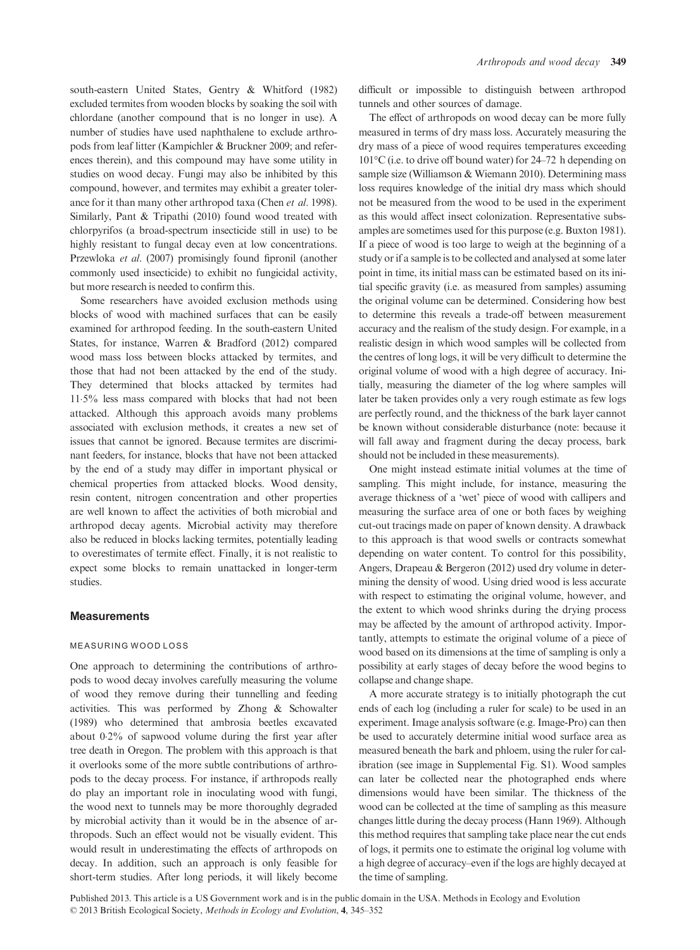south-eastern United States, Gentry & Whitford (1982) excluded termites from wooden blocks by soaking the soil with chlordane (another compound that is no longer in use). A number of studies have used naphthalene to exclude arthropods from leaf litter (Kampichler & Bruckner 2009; and references therein), and this compound may have some utility in studies on wood decay. Fungi may also be inhibited by this compound, however, and termites may exhibit a greater tolerance for it than many other arthropod taxa (Chen et al. 1998). Similarly, Pant & Tripathi (2010) found wood treated with chlorpyrifos (a broad-spectrum insecticide still in use) to be highly resistant to fungal decay even at low concentrations. Przewloka et al. (2007) promisingly found fipronil (another commonly used insecticide) to exhibit no fungicidal activity, but more research is needed to confirm this.

Some researchers have avoided exclusion methods using blocks of wood with machined surfaces that can be easily examined for arthropod feeding. In the south-eastern United States, for instance, Warren & Bradford (2012) compared wood mass loss between blocks attacked by termites, and those that had not been attacked by the end of the study. They determined that blocks attacked by termites had 115% less mass compared with blocks that had not been attacked. Although this approach avoids many problems associated with exclusion methods, it creates a new set of issues that cannot be ignored. Because termites are discriminant feeders, for instance, blocks that have not been attacked by the end of a study may differ in important physical or chemical properties from attacked blocks. Wood density, resin content, nitrogen concentration and other properties are well known to affect the activities of both microbial and arthropod decay agents. Microbial activity may therefore also be reduced in blocks lacking termites, potentially leading to overestimates of termite effect. Finally, it is not realistic to expect some blocks to remain unattacked in longer-term studies.

#### **Measurements**

#### MEASURING WOOD LOSS

One approach to determining the contributions of arthropods to wood decay involves carefully measuring the volume of wood they remove during their tunnelling and feeding activities. This was performed by Zhong & Schowalter (1989) who determined that ambrosia beetles excavated about 02% of sapwood volume during the first year after tree death in Oregon. The problem with this approach is that it overlooks some of the more subtle contributions of arthropods to the decay process. For instance, if arthropods really do play an important role in inoculating wood with fungi, the wood next to tunnels may be more thoroughly degraded by microbial activity than it would be in the absence of arthropods. Such an effect would not be visually evident. This would result in underestimating the effects of arthropods on decay. In addition, such an approach is only feasible for short-term studies. After long periods, it will likely become difficult or impossible to distinguish between arthropod tunnels and other sources of damage.

The effect of arthropods on wood decay can be more fully measured in terms of dry mass loss. Accurately measuring the dry mass of a piece of wood requires temperatures exceeding 101°C (i.e. to drive off bound water) for 24–72 h depending on sample size (Williamson & Wiemann 2010). Determining mass loss requires knowledge of the initial dry mass which should not be measured from the wood to be used in the experiment as this would affect insect colonization. Representative subsamples are sometimes used for this purpose (e.g. Buxton 1981). If a piece of wood is too large to weigh at the beginning of a study or if a sample is to be collected and analysed at some later point in time, its initial mass can be estimated based on its initial specific gravity (i.e. as measured from samples) assuming the original volume can be determined. Considering how best to determine this reveals a trade-off between measurement accuracy and the realism of the study design. For example, in a realistic design in which wood samples will be collected from the centres of long logs, it will be very difficult to determine the original volume of wood with a high degree of accuracy. Initially, measuring the diameter of the log where samples will later be taken provides only a very rough estimate as few logs are perfectly round, and the thickness of the bark layer cannot be known without considerable disturbance (note: because it will fall away and fragment during the decay process, bark should not be included in these measurements).

One might instead estimate initial volumes at the time of sampling. This might include, for instance, measuring the average thickness of a 'wet' piece of wood with callipers and measuring the surface area of one or both faces by weighing cut-out tracings made on paper of known density. A drawback to this approach is that wood swells or contracts somewhat depending on water content. To control for this possibility, Angers, Drapeau & Bergeron (2012) used dry volume in determining the density of wood. Using dried wood is less accurate with respect to estimating the original volume, however, and the extent to which wood shrinks during the drying process may be affected by the amount of arthropod activity. Importantly, attempts to estimate the original volume of a piece of wood based on its dimensions at the time of sampling is only a possibility at early stages of decay before the wood begins to collapse and change shape.

A more accurate strategy is to initially photograph the cut ends of each log (including a ruler for scale) to be used in an experiment. Image analysis software (e.g. Image-Pro) can then be used to accurately determine initial wood surface area as measured beneath the bark and phloem, using the ruler for calibration (see image in Supplemental Fig. S1). Wood samples can later be collected near the photographed ends where dimensions would have been similar. The thickness of the wood can be collected at the time of sampling as this measure changes little during the decay process (Hann 1969). Although this method requires that sampling take place near the cut ends of logs, it permits one to estimate the original log volume with a high degree of accuracy–even if the logs are highly decayed at the time of sampling.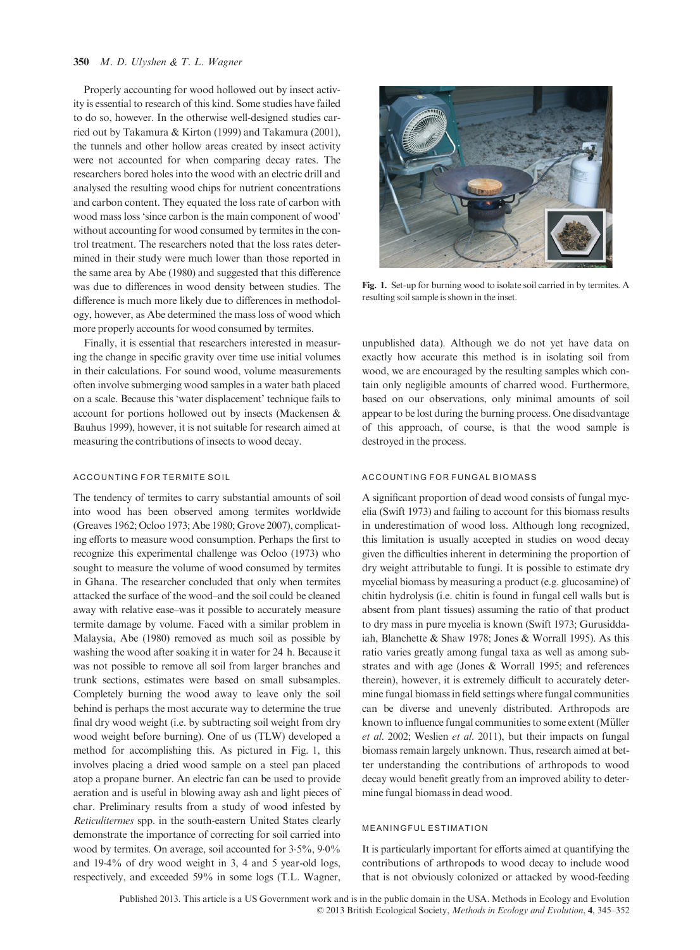#### 350 M. D. Ulyshen & T. L. Wagner

Properly accounting for wood hollowed out by insect activity is essential to research of this kind. Some studies have failed to do so, however. In the otherwise well-designed studies carried out by Takamura & Kirton (1999) and Takamura (2001), the tunnels and other hollow areas created by insect activity were not accounted for when comparing decay rates. The researchers bored holes into the wood with an electric drill and analysed the resulting wood chips for nutrient concentrations and carbon content. They equated the loss rate of carbon with wood mass loss 'since carbon is the main component of wood' without accounting for wood consumed by termites in the control treatment. The researchers noted that the loss rates determined in their study were much lower than those reported in the same area by Abe (1980) and suggested that this difference was due to differences in wood density between studies. The difference is much more likely due to differences in methodology, however, as Abe determined the mass loss of wood which more properly accounts for wood consumed by termites.

Finally, it is essential that researchers interested in measuring the change in specific gravity over time use initial volumes in their calculations. For sound wood, volume measurements often involve submerging wood samples in a water bath placed on a scale. Because this 'water displacement' technique fails to account for portions hollowed out by insects (Mackensen & Bauhus 1999), however, it is not suitable for research aimed at measuring the contributions of insects to wood decay.

#### ACCOUNTING FOR TERMITE SOIL

The tendency of termites to carry substantial amounts of soil into wood has been observed among termites worldwide (Greaves 1962; Ocloo 1973; Abe 1980; Grove 2007), complicating efforts to measure wood consumption. Perhaps the first to recognize this experimental challenge was Ocloo (1973) who sought to measure the volume of wood consumed by termites in Ghana. The researcher concluded that only when termites attacked the surface of the wood–and the soil could be cleaned away with relative ease–was it possible to accurately measure termite damage by volume. Faced with a similar problem in Malaysia, Abe (1980) removed as much soil as possible by washing the wood after soaking it in water for 24 h. Because it was not possible to remove all soil from larger branches and trunk sections, estimates were based on small subsamples. Completely burning the wood away to leave only the soil behind is perhaps the most accurate way to determine the true final dry wood weight (i.e. by subtracting soil weight from dry wood weight before burning). One of us (TLW) developed a method for accomplishing this. As pictured in Fig. 1, this involves placing a dried wood sample on a steel pan placed atop a propane burner. An electric fan can be used to provide aeration and is useful in blowing away ash and light pieces of char. Preliminary results from a study of wood infested by Reticulitermes spp. in the south-eastern United States clearly demonstrate the importance of correcting for soil carried into wood by termites. On average, soil accounted for  $3.5\%$ ,  $9.0\%$ and 194% of dry wood weight in 3, 4 and 5 year-old logs, respectively, and exceeded 59% in some logs (T.L. Wagner,



Fig. 1. Set-up for burning wood to isolate soil carried in by termites. A resulting soil sample is shown in the inset.

unpublished data). Although we do not yet have data on exactly how accurate this method is in isolating soil from wood, we are encouraged by the resulting samples which contain only negligible amounts of charred wood. Furthermore, based on our observations, only minimal amounts of soil appear to be lost during the burning process. One disadvantage of this approach, of course, is that the wood sample is destroyed in the process.

#### ACCOUNTING FOR FUNGAL BIOMASS

A significant proportion of dead wood consists of fungal mycelia (Swift 1973) and failing to account for this biomass results in underestimation of wood loss. Although long recognized, this limitation is usually accepted in studies on wood decay given the difficulties inherent in determining the proportion of dry weight attributable to fungi. It is possible to estimate dry mycelial biomass by measuring a product (e.g. glucosamine) of chitin hydrolysis (i.e. chitin is found in fungal cell walls but is absent from plant tissues) assuming the ratio of that product to dry mass in pure mycelia is known (Swift 1973; Gurusiddaiah, Blanchette & Shaw 1978; Jones & Worrall 1995). As this ratio varies greatly among fungal taxa as well as among substrates and with age (Jones & Worrall 1995; and references therein), however, it is extremely difficult to accurately determine fungal biomass in field settings where fungal communities can be diverse and unevenly distributed. Arthropods are known to influence fungal communities to some extent (Müller et al. 2002; Weslien et al. 2011), but their impacts on fungal biomass remain largely unknown. Thus, research aimed at better understanding the contributions of arthropods to wood decay would benefit greatly from an improved ability to determine fungal biomass in dead wood.

#### MEANINGFUL ESTIMATION

It is particularly important for efforts aimed at quantifying the contributions of arthropods to wood decay to include wood that is not obviously colonized or attacked by wood-feeding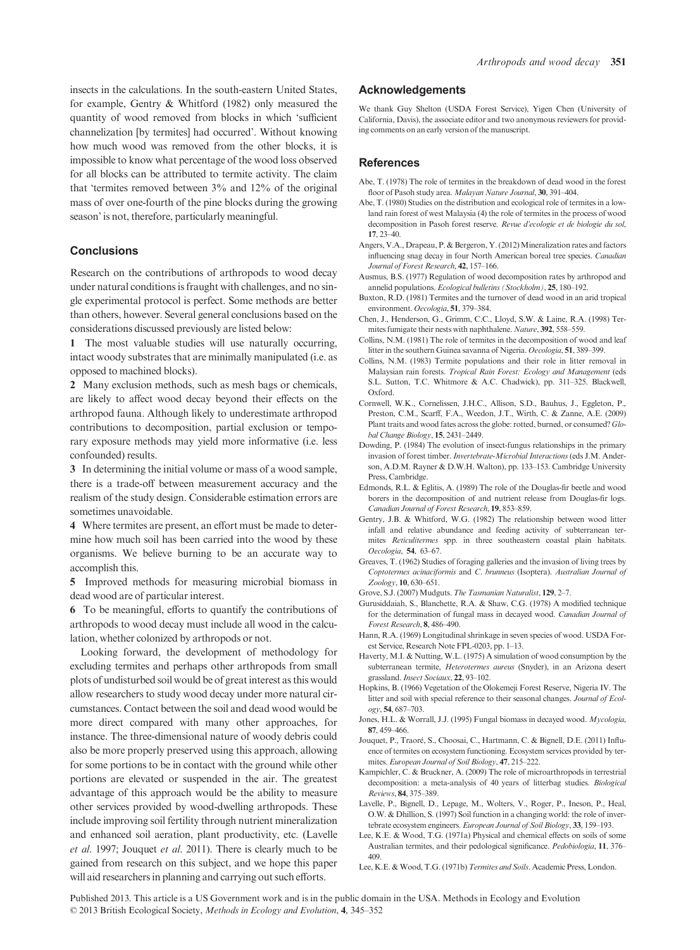insects in the calculations. In the south-eastern United States, for example, Gentry & Whitford (1982) only measured the quantity of wood removed from blocks in which 'sufficient channelization [by termites] had occurred'. Without knowing how much wood was removed from the other blocks, it is impossible to know what percentage of the wood loss observed for all blocks can be attributed to termite activity. The claim that 'termites removed between 3% and 12% of the original mass of over one-fourth of the pine blocks during the growing season' is not, therefore, particularly meaningful.

#### **Conclusions**

Research on the contributions of arthropods to wood decay under natural conditions is fraught with challenges, and no single experimental protocol is perfect. Some methods are better than others, however. Several general conclusions based on the considerations discussed previously are listed below:

1 The most valuable studies will use naturally occurring, intact woody substrates that are minimally manipulated (i.e. as opposed to machined blocks).

2 Many exclusion methods, such as mesh bags or chemicals, are likely to affect wood decay beyond their effects on the arthropod fauna. Although likely to underestimate arthropod contributions to decomposition, partial exclusion or temporary exposure methods may yield more informative (i.e. less confounded) results.

3 In determining the initial volume or mass of a wood sample, there is a trade-off between measurement accuracy and the realism of the study design. Considerable estimation errors are sometimes unavoidable.

4 Where termites are present, an effort must be made to determine how much soil has been carried into the wood by these organisms. We believe burning to be an accurate way to accomplish this.

5 Improved methods for measuring microbial biomass in dead wood are of particular interest.

6 To be meaningful, efforts to quantify the contributions of arthropods to wood decay must include all wood in the calculation, whether colonized by arthropods or not.

Looking forward, the development of methodology for excluding termites and perhaps other arthropods from small plots of undisturbed soil would be of great interest as this would allow researchers to study wood decay under more natural circumstances. Contact between the soil and dead wood would be more direct compared with many other approaches, for instance. The three-dimensional nature of woody debris could also be more properly preserved using this approach, allowing for some portions to be in contact with the ground while other portions are elevated or suspended in the air. The greatest advantage of this approach would be the ability to measure other services provided by wood-dwelling arthropods. These include improving soil fertility through nutrient mineralization and enhanced soil aeration, plant productivity, etc. (Lavelle et al. 1997; Jouquet et al. 2011). There is clearly much to be gained from research on this subject, and we hope this paper will aid researchers in planning and carrying out such efforts.

#### Acknowledgements

We thank Guy Shelton (USDA Forest Service), Yigen Chen (University of California, Davis), the associate editor and two anonymous reviewers for providing comments on an early version of the manuscript.

#### References

- Abe, T. (1978) The role of termites in the breakdown of dead wood in the forest floor of Pasoh study area. Malayan Nature Journal, 30, 391–404.
- Abe, T. (1980) Studies on the distribution and ecological role of termites in a lowland rain forest of west Malaysia (4) the role of termites in the process of wood decomposition in Pasoh forest reserve. Revue d'ecologie et de biologie du sol,
- 17, 23–40. Angers, V.A., Drapeau, P. & Bergeron, Y. (2012)Mineralization rates and factors influencing snag decay in four North American boreal tree species. Canadian Journal of Forest Research, 42, 157–166.
- Ausmus, B.S. (1977) Regulation of wood decomposition rates by arthropod and annelid populations. Ecological bulletins (Stockholm), 25, 180–192.
- Buxton, R.D. (1981) Termites and the turnover of dead wood in an arid tropical environment. Oecologia, 51, 379–384.
- Chen, J., Henderson, G., Grimm, C.C., Lloyd, S.W. & Laine, R.A. (1998) Termites fumigate their nests with naphthalene. Nature, 392, 558–559.
- Collins, N.M. (1981) The role of termites in the decomposition of wood and leaf litter in the southern Guinea savanna of Nigeria. Oecologia, 51, 389–399.
- Collins, N.M. (1983) Termite populations and their role in litter removal in Malaysian rain forests. Tropical Rain Forest: Ecology and Management (eds S.L. Sutton, T.C. Whitmore & A.C. Chadwick), pp. 311–325. Blackwell, Oxford.
- Cornwell, W.K., Cornelissen, J.H.C., Allison, S.D., Bauhus, J., Eggleton, P., Preston, C.M., Scarff, F.A., Weedon, J.T., Wirth, C. & Zanne, A.E. (2009) Plant traits and wood fates across the globe: rotted, burned, or consumed? Global Change Biology, 15, 2431–2449.
- Dowding, P. (1984) The evolution of insect-fungus relationships in the primary invasion of forest timber. Invertebrate-Microbial Interactions (eds J.M. Anderson, A.D.M. Rayner & D.W.H. Walton), pp. 133–153. Cambridge University Press, Cambridge.
- Edmonds, R.L. & Eglitis, A. (1989) The role of the Douglas-fir beetle and wood borers in the decomposition of and nutrient release from Douglas-fir logs. Canadian Journal of Forest Research, 19, 853–859.
- Gentry, J.B. & Whitford, W.G. (1982) The relationship between wood litter infall and relative abundance and feeding activity of subterranean termites Reticulitermes spp. in three southeastern coastal plain habitats.
- Oecologia, 54, 63–67.<br>Greaves, T. (1962) Studies of foraging galleries and the invasion of living trees by Coptotermes acinaciformis and C. brunneus (Isoptera). Australian Journal of Zoology, 10, 630–651.
- Grove, S.J. (2007) Mudguts. The Tasmanian Naturalist, 129, 2–7.
- Gurusiddaiah, S., Blanchette, R.A. & Shaw, C.G. (1978) A modified technique for the determination of fungal mass in decayed wood. Canadian Journal of Forest Research, 8, 486–490.
- Hann, R.A. (1969) Longitudinal shrinkage in seven species of wood. USDA Forest Service, Research Note FPL-0203, pp. 1–13.
- Haverty, M.I. & Nutting, W.L. (1975) A simulation of wood consumption by the subterranean termite, Heterotermes aureus (Snyder), in an Arizona desert grassland. Insect Sociaux, 22, 93-102.
- Hopkins, B. (1966) Vegetation of the Olokemeji Forest Reserve, Nigeria IV. The litter and soil with special reference to their seasonal changes. Journal of Ecology, 54, 687–703.
- Jones, H.L. & Worrall, J.J. (1995) Fungal biomass in decayed wood. Mycologia, 87, 459–466.
- Jouquet, P., Traoré, S., Choosai, C., Hartmann, C. & Bignell, D.E. (2011) Influence of termites on ecosystem functioning. Ecosystem services provided by termites. European Journal of Soil Biology, 47, 215–222.
- Kampichler, C. & Bruckner, A. (2009) The role of microarthropods in terrestrial decomposition: a meta-analysis of 40 years of litterbag studies. Biological Reviews, 84, 375–389.
- Lavelle, P., Bignell, D., Lepage, M., Wolters, V., Roger, P., Ineson, P., Heal, O.W. & Dhillion, S. (1997) Soil function in a changing world: the role of invertebrate ecosystem engineers. European Journal of Soil Biology, 33, 159–193.
- Lee, K.E. & Wood, T.G. (1971a) Physical and chemical effects on soils of some Australian termites, and their pedological significance. Pedobiologia, 11, 376– 409.

Lee, K.E. & Wood, T.G. (1971b) Termites and Soils. Academic Press, London.